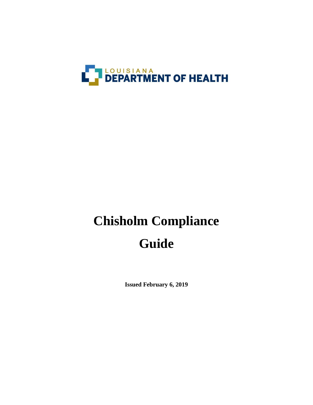

# **Chisholm Compliance Guide**

**Issued February 6, 2019**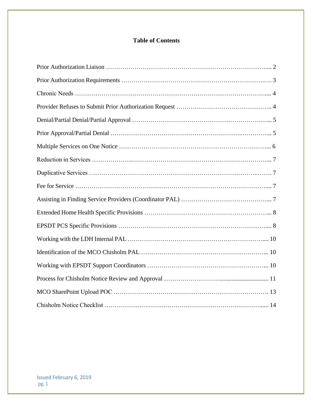# **Table of Contents**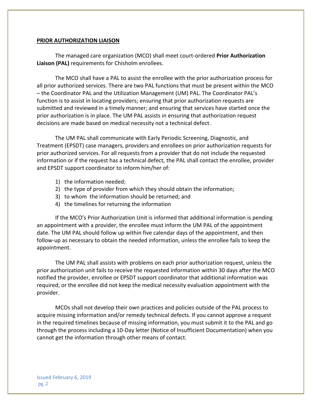#### **PRIOR AUTHORIZATION LIAISON**

The managed care organization (MCO) shall meet court-ordered **Prior Authorization Liaison (PAL)** requirements for Chisholm enrollees.

The MCO shall have a PAL to assist the enrollee with the prior authorization process for all prior authorized services. There are two PAL functions that must be present within the MCO – the Coordinator PAL and the Utilization Management (UM) PAL. The Coordinator PAL's function is to assist in locating providers; ensuring that prior authorization requests are submitted and reviewed in a timely manner; and ensuring that services have started once the prior authorization is in place. The UM PAL assists in ensuring that authorization request decisions are made based on medical necessity not a technical defect.

The UM PAL shall communicate with Early Periodic Screening, Diagnostic, and Treatment (EPSDT) case managers, providers and enrollees on prior authorization requests for prior authorized services. For all requests from a provider that do not include the requested information or if the request has a technical defect, the PAL shall contact the enrollee, provider and EPSDT support coordinator to inform him/her of:

- 1) the information needed;
- 2) the type of provider from which they should obtain the information;
- 3) to whom the information should be returned; and
- 4) the timelines for returning the information

If the MCO's Prior Authorization Unit is informed that additional information is pending an appointment with a provider, the enrollee must inform the UM PAL of the appointment date. The UM PAL should follow up within five calendar days of the appointment, and then follow-up as necessary to obtain the needed information, unless the enrollee fails to keep the appointment.

The UM PAL shall assists with problems on each prior authorization request, unless the prior authorization unit fails to receive the requested information within 30 days after the MCO notified the provider, enrollee or EPSDT support coordinator that additional information was required; or the enrollee did not keep the medical necessity evaluation appointment with the provider.

MCOs shall not develop their own practices and policies outside of the PAL process to acquire missing information and/or remedy technical defects. If you cannot approve a request in the required timelines because of missing information, you must submit it to the PAL and go through the process including a 10-Day letter (Notice of Insufficient Documentation) when you cannot get the information through other means of contact.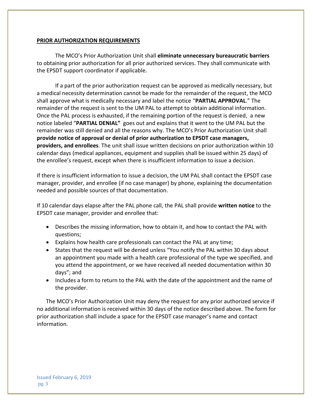#### **PRIOR AUTHORIZATION REQUIREMENTS**

The MCO's Prior Authorization Unit shall **eliminate unnecessary bureaucratic barriers** to obtaining prior authorization for all prior authorized services. They shall communicate with the EPSDT support coordinator if applicable.

If a part of the prior authorization request can be approved as medically necessary, but a medical necessity determination cannot be made for the remainder of the request, the MCO shall approve what is medically necessary and label the notice "**PARTIAL APPROVAL**." The remainder of the request is sent to the UM PAL to attempt to obtain additional information. Once the PAL process is exhausted, if the remaining portion of the request is denied, a new notice labeled "**PARTIAL DENIAL"** goes out and explains that it went to the UM PAL but the remainder was still denied and all the reasons why. The MCO's Prior Authorization Unit shall **provide notice of approval or denial of prior authorization to EPSDT case managers, providers, and enrollees**. The unit shall issue written decisions on prior authorization within 10 calendar days (medical appliances, equipment and supplies shall be issued within 25 days) of the enrollee's request, except when there is insufficient information to issue a decision.

If there is insufficient information to issue a decision, the UM PAL shall contact the EPSDT case manager, provider, and enrollee (if no case manager) by phone, explaining the documentation needed and possible sources of that documentation.

If 10 calendar days elapse after the PAL phone call, the PAL shall provide **written notice** to the EPSDT case manager, provider and enrollee that:

- Describes the missing information, how to obtain it, and how to contact the PAL with questions;
- Explains how health care professionals can contact the PAL at any time;
- States that the request will be denied unless "You notify the PAL within 30 days about an appointment you made with a health care professional of the type we specified, and you attend the appointment, or we have received all needed documentation within 30 days"; and
- Includes a form to return to the PAL with the date of the appointment and the name of the provider.

The MCO's Prior Authorization Unit may deny the request for any prior authorized service if no additional information is received within 30 days of the notice described above. The form for prior authorization shall include a space for the EPSDT case manager's name and contact information.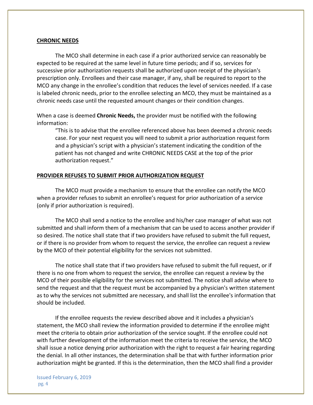#### **CHRONIC NEEDS**

The MCO shall determine in each case if a prior authorized service can reasonably be expected to be required at the same level in future time periods; and if so, services for successive prior authorization requests shall be authorized upon receipt of the physician's prescription only. Enrollees and their case manager, if any, shall be required to report to the MCO any change in the enrollee's condition that reduces the level of services needed. If a case is labeled chronic needs, prior to the enrollee selecting an MCO, they must be maintained as a chronic needs case until the requested amount changes or their condition changes.

When a case is deemed **Chronic Needs,** the provider must be notified with the following information:

"This is to advise that the enrollee referenced above has been deemed a chronic needs case. For your next request you will need to submit a prior authorization request form and a physician's script with a physician's statement indicating the condition of the patient has not changed and write CHRONIC NEEDS CASE at the top of the prior authorization request."

#### **PROVIDER REFUSES TO SUBMIT PRIOR AUTHORIZATION REQUEST**

The MCO must provide a mechanism to ensure that the enrollee can notify the MCO when a provider refuses to submit an enrollee's request for prior authorization of a service (only if prior authorization is required).

The MCO shall send a notice to the enrollee and his/her case manager of what was not submitted and shall inform them of a mechanism that can be used to access another provider if so desired. The notice shall state that if two providers have refused to submit the full request, or if there is no provider from whom to request the service, the enrollee can request a review by the MCO of their potential eligibility for the services not submitted.

The notice shall state that if two providers have refused to submit the full request, or if there is no one from whom to request the service, the enrollee can request a review by the MCO of their possible eligibility for the services not submitted. The notice shall advise where to send the request and that the request must be accompanied by a physician's written statement as to why the services not submitted are necessary, and shall list the enrollee's information that should be included.

If the enrollee requests the review described above and it includes a physician's statement, the MCO shall review the information provided to determine if the enrollee might meet the criteria to obtain prior authorization of the service sought. If the enrollee could not with further development of the information meet the criteria to receive the service, the MCO shall issue a notice denying prior authorization with the right to request a fair hearing regarding the denial. In all other instances, the determination shall be that with further information prior authorization might be granted. If this is the determination, then the MCO shall find a provider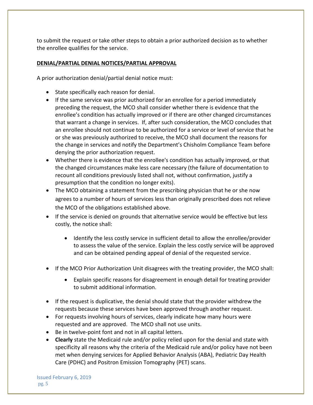to submit the request or take other steps to obtain a prior authorized decision as to whether the enrollee qualifies for the service.

# **DENIAL/PARTIAL DENIAL NOTICES/PARTIAL APPROVAL**

A prior authorization denial/partial denial notice must:

- State specifically each reason for denial.
- If the same service was prior authorized for an enrollee for a period immediately preceding the request, the MCO shall consider whether there is evidence that the enrollee's condition has actually improved or if there are other changed circumstances that warrant a change in services. If, after such consideration, the MCO concludes that an enrollee should not continue to be authorized for a service or level of service that he or she was previously authorized to receive, the MCO shall document the reasons for the change in services and notify the Department's Chisholm Compliance Team before denying the prior authorization request.
- Whether there is evidence that the enrollee's condition has actually improved, or that the changed circumstances make less care necessary (the failure of documentation to recount all conditions previously listed shall not, without confirmation, justify a presumption that the condition no longer exits).
- The MCO obtaining a statement from the prescribing physician that he or she now agrees to a number of hours of services less than originally prescribed does not relieve the MCO of the obligations established above.
- If the service is denied on grounds that alternative service would be effective but less costly, the notice shall:
	- Identify the less costly service in sufficient detail to allow the enrollee/provider to assess the value of the service. Explain the less costly service will be approved and can be obtained pending appeal of denial of the requested service.
- If the MCO Prior Authorization Unit disagrees with the treating provider, the MCO shall:
	- Explain specific reasons for disagreement in enough detail for treating provider to submit additional information.
- If the request is duplicative, the denial should state that the provider withdrew the requests because these services have been approved through another request.
- For requests involving hours of services, clearly indicate how many hours were requested and are approved. The MCO shall not use units.
- Be in twelve-point font and not in all capital letters.
- **Clearly** state the Medicaid rule and/or policy relied upon for the denial and state with specificity all reasons why the criteria of the Medicaid rule and/or policy have not been met when denying services for Applied Behavior Analysis (ABA), Pediatric Day Health Care (PDHC) and Positron Emission Tomography (PET) scans.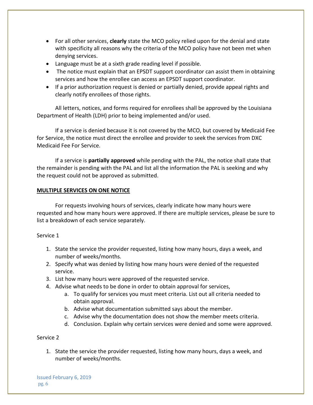- For all other services, **clearly** state the MCO policy relied upon for the denial and state with specificity all reasons why the criteria of the MCO policy have not been met when denying services.
- Language must be at a sixth grade reading level if possible.
- The notice must explain that an EPSDT support coordinator can assist them in obtaining services and how the enrollee can access an EPSDT support coordinator.
- If a prior authorization request is denied or partially denied, provide appeal rights and clearly notify enrollees of those rights.

All letters, notices, and forms required for enrollees shall be approved by the Louisiana Department of Health (LDH) prior to being implemented and/or used.

If a service is denied because it is not covered by the MCO, but covered by Medicaid Fee for Service, the notice must direct the enrollee and provider to seek the services from DXC Medicaid Fee For Service.

If a service is **partially approved** while pending with the PAL, the notice shall state that the remainder is pending with the PAL and list all the information the PAL is seeking and why the request could not be approved as submitted.

### **MULTIPLE SERVICES ON ONE NOTICE**

For requests involving hours of services, clearly indicate how many hours were requested and how many hours were approved. If there are multiple services, please be sure to list a breakdown of each service separately.

# Service 1

- 1. State the service the provider requested, listing how many hours, days a week, and number of weeks/months.
- 2. Specify what was denied by listing how many hours were denied of the requested service.
- 3. List how many hours were approved of the requested service.
- 4. Advise what needs to be done in order to obtain approval for services,
	- a. To qualify for services you must meet criteria. List out all criteria needed to obtain approval.
	- b. Advise what documentation submitted says about the member.
	- c. Advise why the documentation does not show the member meets criteria.
	- d. Conclusion. Explain why certain services were denied and some were approved.

# Service 2

1. State the service the provider requested, listing how many hours, days a week, and number of weeks/months.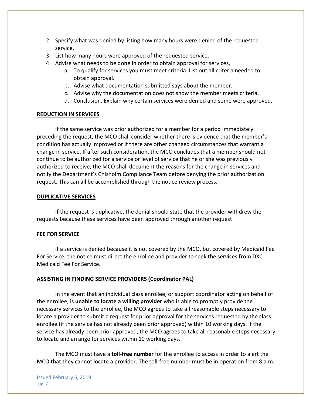- 2. Specify what was denied by listing how many hours were denied of the requested service.
- 3. List how many hours were approved of the requested service.
- 4. Advise what needs to be done in order to obtain approval for services,
	- a. To qualify for services you must meet criteria. List out all criteria needed to obtain approval.
	- b. Advise what documentation submitted says about the member.
	- c. Advise why the documentation does not show the member meets criteria.
	- d. Conclusion. Explain why certain services were denied and some were approved.

#### **REDUCTION IN SERVICES**

If the same service was prior authorized for a member for a period immediately preceding the request, the MCO shall consider whether there is evidence that the member's condition has actually improved or if there are other changed circumstances that warrant a change in service. If after such consideration, the MCO concludes that a member should not continue to be authorized for a service or level of service that he or she was previously authorized to receive, the MCO shall document the reasons for the change in services and notify the Department's Chisholm Compliance Team before denying the prior authorization request. This can all be accomplished through the notice review process.

#### **DUPLICATIVE SERVICES**

If the request is duplicative, the denial should state that the provider withdrew the requests because these services have been approved through another request

#### **FEE FOR SERVICE**

If a service is denied because it is not covered by the MCO, but covered by Medicaid Fee For Service, the notice must direct the enrollee and provider to seek the services from DXC Medicaid Fee For Service.

#### **ASSISTING IN FINDING SERVICE PROVIDERS (Coordinator PAL)**

In the event that an individual class enrollee, or support coordinator acting on behalf of the enrollee, is **unable to locate a willing provider** who is able to promptly provide the necessary services to the enrollee, the MCO agrees to take all reasonable steps necessary to locate a provider to submit a request for prior approval for the services requested by the class enrollee (if the service has not already been prior approved) within 10 working days. If the service has already been prior approved, the MCO agrees to take all reasonable steps necessary to locate and arrange for services within 10 working days.

The MCO must have a **toll-free number** for the enrollee to access in order to alert the MCO that they cannot locate a provider. The toll-free number must be in operation from 8 a.m.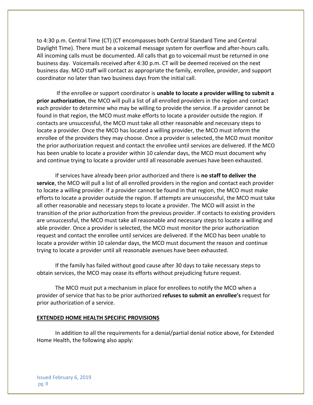to 4:30 p.m. Central Time (CT) (CT encompasses both Central Standard Time and Central Daylight Time). There must be a voicemail message system for overflow and after-hours calls. All incoming calls must be documented. All calls that go to voicemail must be returned in one business day. Voicemails received after 4:30 p.m. CT will be deemed received on the next business day. MCO staff will contact as appropriate the family, enrollee, provider, and support coordinator no later than two business days from the initial call.

If the enrollee or support coordinator is **unable to locate a provider willing to submit a prior authorization**, the MCO will pull a list of all enrolled providers in the region and contact each provider to determine who may be willing to provide the service. If a provider cannot be found in that region, the MCO must make efforts to locate a provider outside the region. If contacts are unsuccessful, the MCO must take all other reasonable and necessary steps to locate a provider. Once the MCO has located a willing provider, the MCO must inform the enrollee of the providers they may choose. Once a provider is selected, the MCO must monitor the prior authorization request and contact the enrollee until services are delivered. If the MCO has been unable to locate a provider within 10 calendar days, the MCO must document why and continue trying to locate a provider until all reasonable avenues have been exhausted.

If services have already been prior authorized and there is **no staff to deliver the service**, the MCO will pull a list of all enrolled providers in the region and contact each provider to locate a willing provider. If a provider cannot be found in that region, the MCO must make efforts to locate a provider outside the region. If attempts are unsuccessful, the MCO must take all other reasonable and necessary steps to locate a provider. The MCO will assist in the transition of the prior authorization from the previous provider. If contacts to existing providers are unsuccessful, the MCO must take all reasonable and necessary steps to locate a willing and able provider. Once a provider is selected, the MCO must monitor the prior authorization request and contact the enrollee until services are delivered. If the MCO has been unable to locate a provider within 10 calendar days, the MCO must document the reason and continue trying to locate a provider until all reasonable avenues have been exhausted.

If the family has failed without good cause after 30 days to take necessary steps to obtain services, the MCO may cease its efforts without prejudicing future request.

The MCO must put a mechanism in place for enrollees to notify the MCO when a provider of service that has to be prior authorized **refuses to submit an enrollee's** request for prior authorization of a service.

#### **EXTENDED HOME HEALTH SPECIFIC PROVISIONS**

In addition to all the requirements for a denial/partial denial notice above, for Extended Home Health, the following also apply: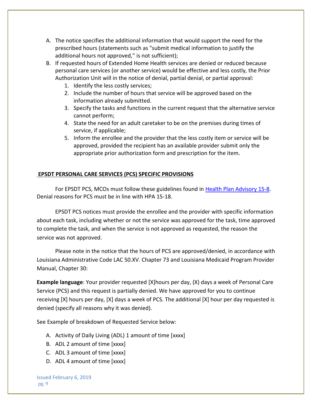- A. The notice specifies the additional information that would support the need for the prescribed hours (statements such as "submit medical information to justify the additional hours not approved," is not sufficient);
- B. If requested hours of Extended Home Health services are denied or reduced because personal care services (or another service) would be effective and less costly, the Prior Authorization Unit will in the notice of denial, partial denial, or partial approval:
	- 1. Identify the less costly services;
	- 2. Include the number of hours that service will be approved based on the information already submitted.
	- 3. Specify the tasks and functions in the current request that the alternative service cannot perform;
	- 4. State the need for an adult caretaker to be on the premises during times of service, if applicable;
	- 5. Inform the enrollee and the provider that the less costly item or service will be approved, provided the recipient has an available provider submit only the appropriate prior authorization form and prescription for the item.

# **EPSDT PERSONAL CARE SERVICES (PCS) SPECIFIC PROVISIONS**

For EPSDT PCS, MCOs must follow these guidelines found in [Health Plan Advisory 15-8.](http://ldh.la.gov/assets/docs/BayouHealth/HealthPlanAdvisories/2015/HPA15-18.pdf) Denial reasons for PCS must be in line with HPA 15-18.

EPSDT PCS notices must provide the enrollee and the provider with specific information about each task, including whether or not the service was approved for the task, time approved to complete the task, and when the service is not approved as requested, the reason the service was not approved.

Please note in the notice that the hours of PCS are approved/denied, in accordance with Louisiana Administrative Code LAC 50.XV. Chapter 73 and Louisiana Medicaid Program Provider Manual, Chapter 30:

**Example language**: Your provider requested [X]hours per day, (X) days a week of Personal Care Service (PCS) and this request is partially denied. We have approved for you to continue receiving [X] hours per day, [X] days a week of PCS. The additional [X] hour per day requested is denied (specify all reasons why it was denied).

See Example of breakdown of Requested Service below:

- A. Activity of Daily Living (ADL) 1 amount of time [xxxx]
- B. ADL 2 amount of time [xxxx]
- C. ADL 3 amount of time [xxxx]
- D. ADL 4 amount of time [xxxx]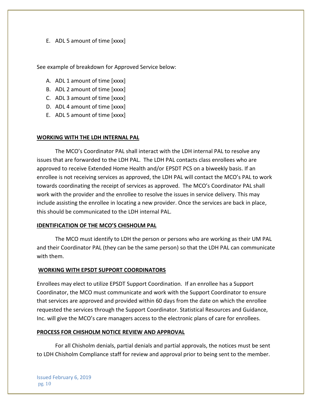#### E. ADL 5 amount of time [xxxx]

See example of breakdown for Approved Service below:

- A. ADL 1 amount of time [xxxx]
- B. ADL 2 amount of time [xxxx]
- C. ADL 3 amount of time [xxxx]
- D. ADL 4 amount of time [xxxx]
- E. ADL 5 amount of time [xxxx]

#### **WORKING WITH THE LDH INTERNAL PAL**

The MCO's Coordinator PAL shall interact with the LDH internal PAL to resolve any issues that are forwarded to the LDH PAL. The LDH PAL contacts class enrollees who are approved to receive Extended Home Health and/or EPSDT PCS on a biweekly basis. If an enrollee is not receiving services as approved, the LDH PAL will contact the MCO's PAL to work towards coordinating the receipt of services as approved. The MCO's Coordinator PAL shall work with the provider and the enrollee to resolve the issues in service delivery. This may include assisting the enrollee in locating a new provider. Once the services are back in place, this should be communicated to the LDH internal PAL.

#### **IDENTIFICATION OF THE MCO'S CHISHOLM PAL**

The MCO must identify to LDH the person or persons who are working as their UM PAL and their Coordinator PAL (they can be the same person) so that the LDH PAL can communicate with them.

#### **WORKING WITH EPSDT SUPPORT COORDINATORS**

Enrollees may elect to utilize EPSDT Support Coordination. If an enrollee has a Support Coordinator, the MCO must communicate and work with the Support Coordinator to ensure that services are approved and provided within 60 days from the date on which the enrollee requested the services through the Support Coordinator. Statistical Resources and Guidance, Inc. will give the MCO's care managers access to the electronic plans of care for enrollees.

#### **PROCESS FOR CHISHOLM NOTICE REVIEW AND APPROVAL**

For all Chisholm denials, partial denials and partial approvals, the notices must be sent to LDH Chisholm Compliance staff for review and approval prior to being sent to the member.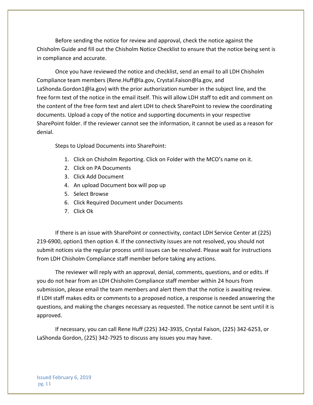Before sending the notice for review and approval, check the notice against the Chisholm Guide and fill out the Chisholm Notice Checklist to ensure that the notice being sent is in compliance and accurate.

Once you have reviewed the notice and checklist, send an email to all LDH Chisholm Compliance team members (Rene.Huff@la.gov, Crystal.Faison@la.gov, and LaShonda.Gordon1@la.gov) with the prior authorization number in the subject line, and the free form text of the notice in the email itself. This will allow LDH staff to edit and comment on the content of the free form text and alert LDH to check SharePoint to review the coordinating documents. Upload a copy of the notice and supporting documents in your respective SharePoint folder. If the reviewer cannot see the information, it cannot be used as a reason for denial.

Steps to Upload Documents into SharePoint:

- 1. Click on Chisholm Reporting. Click on Folder with the MCO's name on it.
- 2. Click on PA Documents
- 3. Click Add Document
- 4. An upload Document box will pop up
- 5. Select Browse
- 6. Click Required Document under Documents
- 7. Click Ok

If there is an issue with SharePoint or connectivity, contact LDH Service Center at (225) 219-6900, option1 then option 4. If the connectivity issues are not resolved, you should not submit notices via the regular process until issues can be resolved. Please wait for instructions from LDH Chisholm Compliance staff member before taking any actions.

The reviewer will reply with an approval, denial, comments, questions, and or edits. If you do not hear from an LDH Chisholm Compliance staff member within 24 hours from submission, please email the team members and alert them that the notice is awaiting review. If LDH staff makes edits or comments to a proposed notice, a response is needed answering the questions, and making the changes necessary as requested. The notice cannot be sent until it is approved.

If necessary, you can call Rene Huff (225) 342-3935, Crystal Faison, (225) 342-6253, or LaShonda Gordon, (225) 342-7925 to discuss any issues you may have.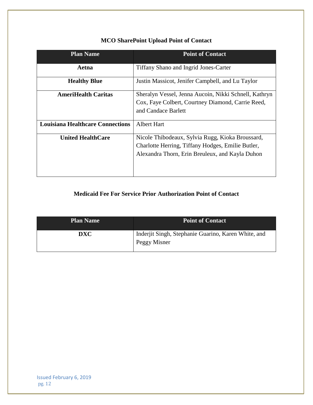| <b>Plan Name</b>                        | <b>Point of Contact</b>                                                                                                                                  |  |
|-----------------------------------------|----------------------------------------------------------------------------------------------------------------------------------------------------------|--|
| Aetna                                   | Tiffany Shano and Ingrid Jones-Carter                                                                                                                    |  |
| <b>Healthy Blue</b>                     | Justin Massicot, Jenifer Campbell, and Lu Taylor                                                                                                         |  |
| <b>AmeriHealth Caritas</b>              | Sheralyn Vessel, Jenna Aucoin, Nikki Schnell, Kathryn<br>Cox, Faye Colbert, Courtney Diamond, Carrie Reed,<br>and Candace Barlett                        |  |
| <b>Louisiana Healthcare Connections</b> | <b>Albert Hart</b>                                                                                                                                       |  |
| <b>United HealthCare</b>                | Nicole Thibodeaux, Sylvia Rugg, Kioka Broussard,<br>Charlotte Herring, Tiffany Hodges, Emilie Butler,<br>Alexandra Thorn, Erin Breuleux, and Kayla Duhon |  |

# **MCO SharePoint Upload Point of Contact**

# **Medicaid Fee For Service Prior Authorization Point of Contact**

| <b>Plan Name</b> | <b>Point of Contact</b>                                             |
|------------------|---------------------------------------------------------------------|
| DXC              | Inderjit Singh, Stephanie Guarino, Karen White, and<br>Peggy Misner |